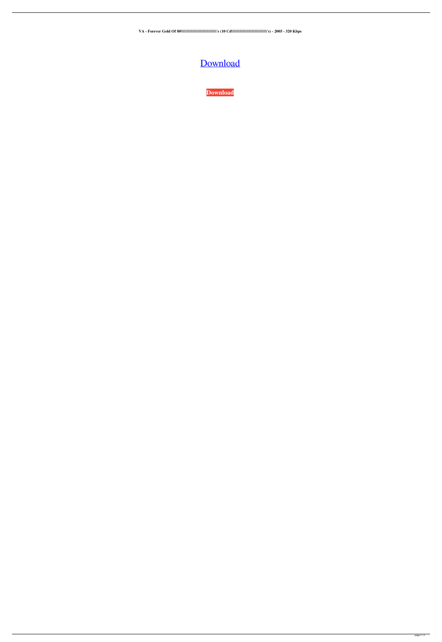**VA - Forever Gold Of 80\\\\\\\\\\\\\\\\\\\\\\\\\\\\\\\\'s (10 Cd\\\\\\\\\\\\\\\\\\\\\\\\\\\\\\\\'s) - 2005 - 320 Kbps**

## [Download](http://evacdir.com/ZG93bmxvYWR8WnE2TVdreFpIeDhNVFkxTWpRMk16QTFNSHg4TWpVM05IeDhLRTBwSUhKbFlXUXRZbXh2WnlCYlJtRnpkQ0JIUlU1ZA/humidistat.joke/VkEgLSBGb3JldmVyIEdvbGQgT2YgODBcXFxcXFxcXFxcXFxcXFxcXFxcXFxcXFxcXFxcXFxcXCdzICgxMCBDZFxcXFxcXFxcXFxcXFxcXFxcXFxcXFxcXFxcXFxcXFxcJ3MpIC0gMjAwNSAtIDMyMCBLYnBzVkE/denaturing/fullly.infoserve/)

**[Download](http://evacdir.com/ZG93bmxvYWR8WnE2TVdreFpIeDhNVFkxTWpRMk16QTFNSHg4TWpVM05IeDhLRTBwSUhKbFlXUXRZbXh2WnlCYlJtRnpkQ0JIUlU1ZA/humidistat.joke/VkEgLSBGb3JldmVyIEdvbGQgT2YgODBcXFxcXFxcXFxcXFxcXFxcXFxcXFxcXFxcXFxcXFxcXCdzICgxMCBDZFxcXFxcXFxcXFxcXFxcXFxcXFxcXFxcXFxcXFxcXFxcJ3MpIC0gMjAwNSAtIDMyMCBLYnBzVkE/denaturing/fullly.infoserve/)**